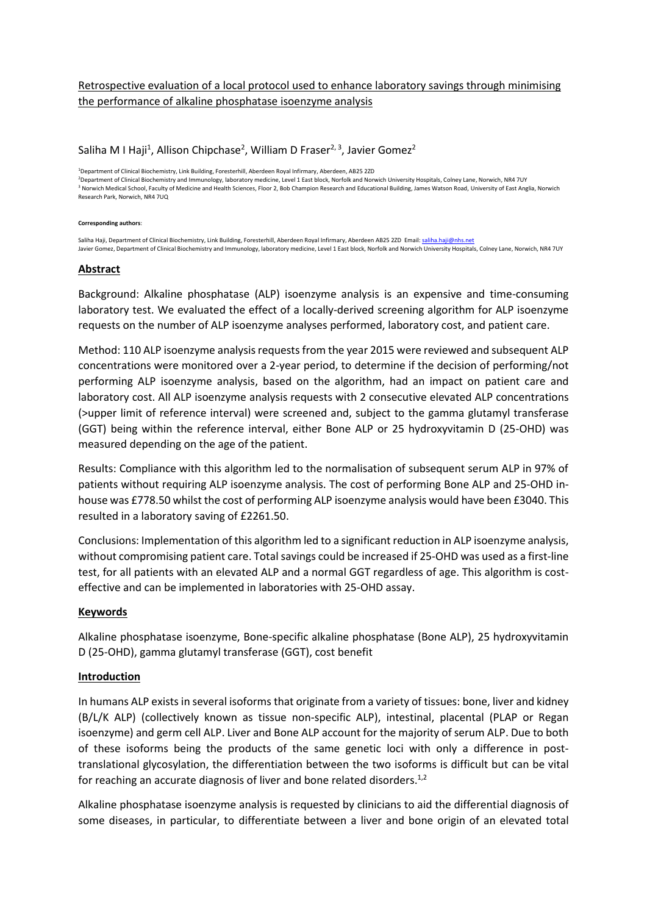# Retrospective evaluation of a local protocol used to enhance laboratory savings through minimising the performance of alkaline phosphatase isoenzyme analysis

# Saliha M I Haji<sup>1</sup>, Allison Chipchase<sup>2</sup>, William D Fraser<sup>2, 3</sup>, Javier Gomez<sup>2</sup>

<sup>1</sup>Department of Clinical Biochemistry, Link Building, Foresterhill, Aberdeen Royal Infirmary, Aberdeen, AB25 2ZD <sup>2</sup>Department of Clinical Biochemistry and Immunology, laboratory medicine, Level 1 East block, Norfolk and Norwich University Hospitals, Colney Lane, Norwich, NR4 7UY <sup>3</sup> Norwich Medical School, Faculty of Medicine and Health Sciences, Floor 2, Bob Champion Research and Educational Building, James Watson Road, University of East Anglia, Norwich Research Park, Norwich, NR4 7UQ

#### **Corresponding authors**:

Saliha Haji, Department of Clinical Biochemistry, Link Building, Foresterhill, Aberdeen Royal Infirmary, Aberdeen AB25 2ZD Email[: saliha.haji@nhs.net](mailto:saliha.haji@nhs.net) Javier Gomez, Department of Clinical Biochemistry and Immunology, laboratory medicine, Level 1 East block, Norfolk and Norwich University Hospitals, Colney Lane, Norwich, NR4 7UY

#### **Abstract**

Background: Alkaline phosphatase (ALP) isoenzyme analysis is an expensive and time-consuming laboratory test. We evaluated the effect of a locally-derived screening algorithm for ALP isoenzyme requests on the number of ALP isoenzyme analyses performed, laboratory cost, and patient care.

Method: 110 ALP isoenzyme analysis requests from the year 2015 were reviewed and subsequent ALP concentrations were monitored over a 2-year period, to determine if the decision of performing/not performing ALP isoenzyme analysis, based on the algorithm, had an impact on patient care and laboratory cost. All ALP isoenzyme analysis requests with 2 consecutive elevated ALP concentrations (>upper limit of reference interval) were screened and, subject to the gamma glutamyl transferase (GGT) being within the reference interval, either Bone ALP or 25 hydroxyvitamin D (25-OHD) was measured depending on the age of the patient.

Results: Compliance with this algorithm led to the normalisation of subsequent serum ALP in 97% of patients without requiring ALP isoenzyme analysis. The cost of performing Bone ALP and 25-OHD inhouse was £778.50 whilst the cost of performing ALP isoenzyme analysis would have been £3040. This resulted in a laboratory saving of £2261.50.

Conclusions: Implementation of this algorithm led to a significant reduction in ALP isoenzyme analysis, without compromising patient care. Total savings could be increased if 25-OHD was used as a first-line test, for all patients with an elevated ALP and a normal GGT regardless of age. This algorithm is costeffective and can be implemented in laboratories with 25-OHD assay.

#### **Keywords**

Alkaline phosphatase isoenzyme, Bone-specific alkaline phosphatase (Bone ALP), 25 hydroxyvitamin D (25-OHD), gamma glutamyl transferase (GGT), cost benefit

#### **Introduction**

In humans ALP exists in several isoforms that originate from a variety of tissues: bone, liver and kidney (B/L/K ALP) (collectively known as tissue non-specific ALP), intestinal, placental (PLAP or Regan isoenzyme) and germ cell ALP. Liver and Bone ALP account for the majority of serum ALP. Due to both of these isoforms being the products of the same genetic loci with only a difference in posttranslational glycosylation, the differentiation between the two isoforms is difficult but can be vital for reaching an accurate diagnosis of liver and bone related disorders.<sup>1,2</sup>

Alkaline phosphatase isoenzyme analysis is requested by clinicians to aid the differential diagnosis of some diseases, in particular, to differentiate between a liver and bone origin of an elevated total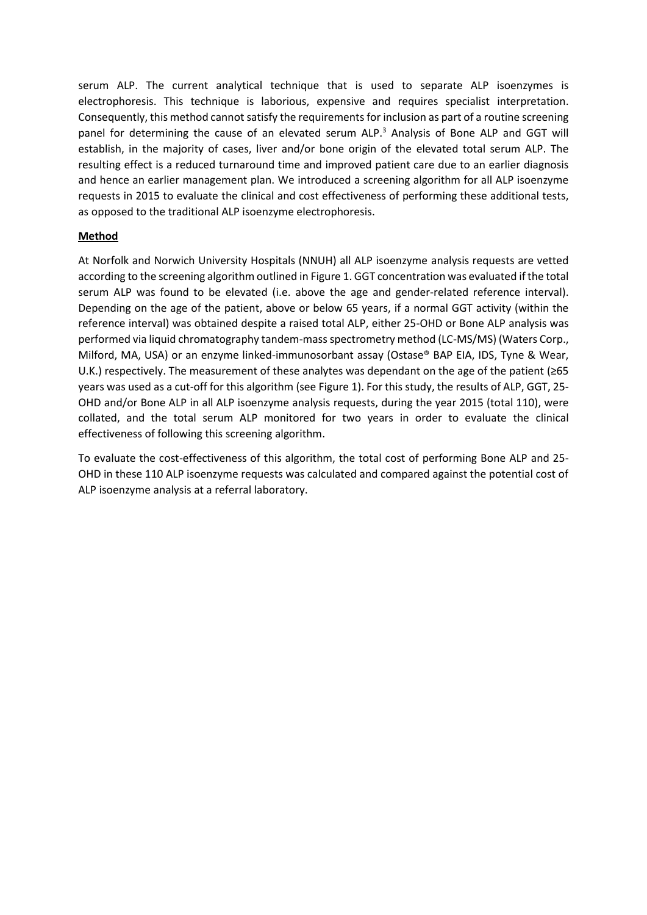serum ALP. The current analytical technique that is used to separate ALP isoenzymes is electrophoresis. This technique is laborious, expensive and requires specialist interpretation. Consequently, this method cannot satisfy the requirements for inclusion as part of a routine screening panel for determining the cause of an elevated serum ALP.<sup>3</sup> Analysis of Bone ALP and GGT will establish, in the majority of cases, liver and/or bone origin of the elevated total serum ALP. The resulting effect is a reduced turnaround time and improved patient care due to an earlier diagnosis and hence an earlier management plan. We introduced a screening algorithm for all ALP isoenzyme requests in 2015 to evaluate the clinical and cost effectiveness of performing these additional tests, as opposed to the traditional ALP isoenzyme electrophoresis.

# **Method**

At Norfolk and Norwich University Hospitals (NNUH) all ALP isoenzyme analysis requests are vetted according to the screening algorithm outlined in Figure 1. GGT concentration was evaluated if the total serum ALP was found to be elevated (i.e. above the age and gender-related reference interval). Depending on the age of the patient, above or below 65 years, if a normal GGT activity (within the reference interval) was obtained despite a raised total ALP, either 25-OHD or Bone ALP analysis was performed via liquid chromatography tandem-mass spectrometry method (LC-MS/MS) (Waters Corp., Milford, MA, USA) or an enzyme linked-immunosorbant assay (Ostase® BAP EIA, IDS, Tyne & Wear, U.K.) respectively. The measurement of these analytes was dependant on the age of the patient (≥65 years was used as a cut-off for this algorithm (see Figure 1). For this study, the results of ALP, GGT, 25- OHD and/or Bone ALP in all ALP isoenzyme analysis requests, during the year 2015 (total 110), were collated, and the total serum ALP monitored for two years in order to evaluate the clinical effectiveness of following this screening algorithm.

To evaluate the cost-effectiveness of this algorithm, the total cost of performing Bone ALP and 25- OHD in these 110 ALP isoenzyme requests was calculated and compared against the potential cost of ALP isoenzyme analysis at a referral laboratory.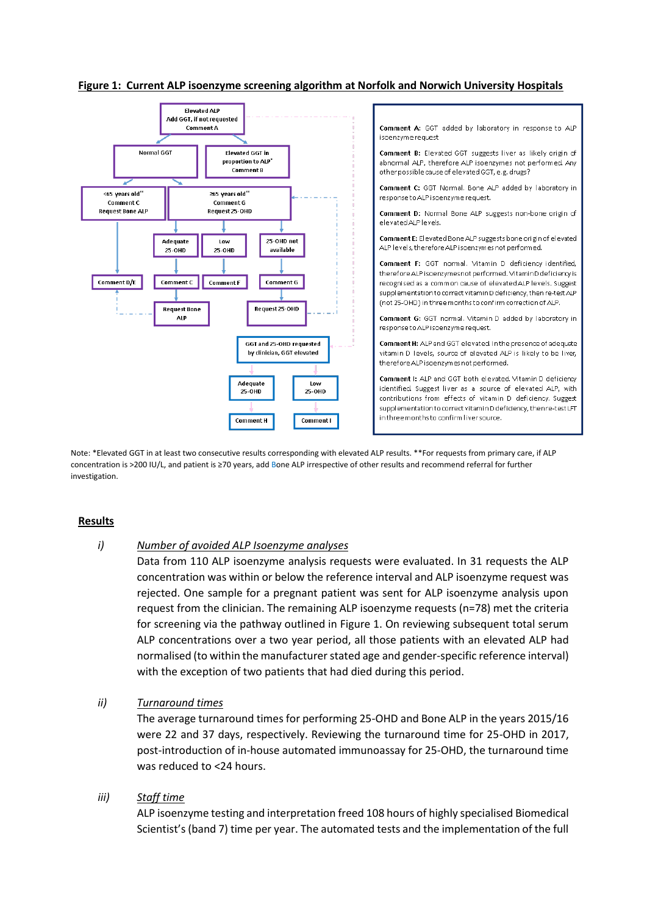#### **Figure 1: Current ALP isoenzyme screening algorithm at Norfolk and Norwich University Hospitals**



isoenzyme request Comment B: Elevated GGT suggests liver as likely origin of abnormal ALP, therefore ALP isoenzymes not performed. Any other possible cause of elevated GGT, e.g. drugs? Comment C: GGT Normal, Bone ALP added by laboratory in response to ALP isoenzyme request. Comment D: Normal Bone ALP suggests non-bone origin of elevated ALP levels. Comment E: Elevated Bone ALP suggests bone origin of elevated ALP levels, therefore ALP isoenzymes not performed. Comment F: GGT normal. Vitamin D deficiency identified. therefore ALP isoenzymes not performed. VitaminD deficiency is recognised as a common cause of elevated ALP levels. Suggest supplementation to correct vitamin D deficiency, then re-test AIP (not 25-OHD) in three months to confirm correction of ALP. Comment G: GGT normal. Vitamin D added by laboratory in response to ALP isoenzyme request. Comment H: ALP and GGT elevated. In the presence of adequate vitamin D levels, source of elevated ALP is likely to be liver, therefore ALP isoenzymes not performed. Comment I: ALP and GGT both elevated. Vitamin D deficiency identified. Suggest liver as a source of elevated ALP, with

Comment A: GGT added by laboratory in response to ALP

contributions from effects of vitamin D deficiency. Suggest supplementation to correct vitamin D deficiency, then re-test LFT in three months to confirm liver source.

Note: \*Elevated GGT in at least two consecutive results corresponding with elevated ALP results. \*\*For requests from primary care, if ALP concentration is >200 IU/L, and patient is ≥70 years, add Bone ALP irrespective of other results and recommend referral for further investigation.

## **Results**

## *i) Number of avoided ALP Isoenzyme analyses*

Data from 110 ALP isoenzyme analysis requests were evaluated. In 31 requests the ALP concentration was within or below the reference interval and ALP isoenzyme request was rejected. One sample for a pregnant patient was sent for ALP isoenzyme analysis upon request from the clinician. The remaining ALP isoenzyme requests (n=78) met the criteria for screening via the pathway outlined in Figure 1. On reviewing subsequent total serum ALP concentrations over a two year period, all those patients with an elevated ALP had normalised (to within the manufacturer stated age and gender-specific reference interval) with the exception of two patients that had died during this period.

## *ii) Turnaround times*

The average turnaround times for performing 25-OHD and Bone ALP in the years 2015/16 were 22 and 37 days, respectively. Reviewing the turnaround time for 25-OHD in 2017, post-introduction of in-house automated immunoassay for 25-OHD, the turnaround time was reduced to <24 hours.

## *iii) Staff time*

ALP isoenzyme testing and interpretation freed 108 hours of highly specialised Biomedical Scientist's (band 7) time per year. The automated tests and the implementation of the full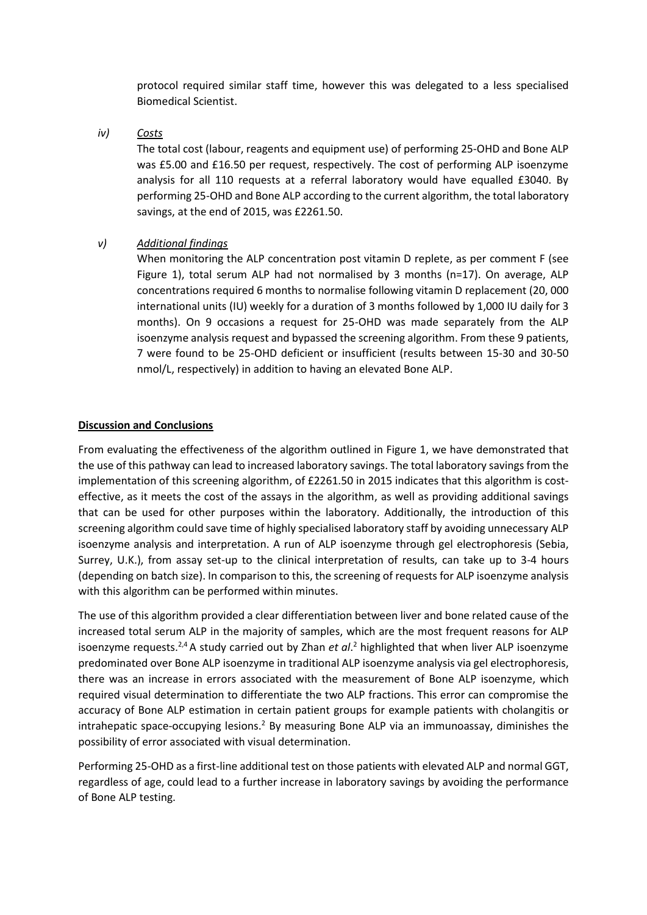protocol required similar staff time, however this was delegated to a less specialised Biomedical Scientist.

*iv) Costs*

The total cost (labour, reagents and equipment use) of performing 25-OHD and Bone ALP was £5.00 and £16.50 per request, respectively. The cost of performing ALP isoenzyme analysis for all 110 requests at a referral laboratory would have equalled £3040. By performing 25-OHD and Bone ALP according to the current algorithm, the total laboratory savings, at the end of 2015, was £2261.50.

*v) Additional findings*

When monitoring the ALP concentration post vitamin D replete, as per comment F (see Figure 1), total serum ALP had not normalised by 3 months (n=17). On average, ALP concentrations required 6 months to normalise following vitamin D replacement (20, 000 international units (IU) weekly for a duration of 3 months followed by 1,000 IU daily for 3 months). On 9 occasions a request for 25-OHD was made separately from the ALP isoenzyme analysis request and bypassed the screening algorithm. From these 9 patients, 7 were found to be 25-OHD deficient or insufficient (results between 15-30 and 30-50 nmol/L, respectively) in addition to having an elevated Bone ALP.

# **Discussion and Conclusions**

From evaluating the effectiveness of the algorithm outlined in Figure 1, we have demonstrated that the use of this pathway can lead to increased laboratory savings. The total laboratory savings from the implementation of this screening algorithm, of £2261.50 in 2015 indicates that this algorithm is costeffective, as it meets the cost of the assays in the algorithm, as well as providing additional savings that can be used for other purposes within the laboratory. Additionally, the introduction of this screening algorithm could save time of highly specialised laboratory staff by avoiding unnecessary ALP isoenzyme analysis and interpretation. A run of ALP isoenzyme through gel electrophoresis (Sebia, Surrey, U.K.), from assay set-up to the clinical interpretation of results, can take up to 3-4 hours (depending on batch size). In comparison to this, the screening of requests for ALP isoenzyme analysis with this algorithm can be performed within minutes.

The use of this algorithm provided a clear differentiation between liver and bone related cause of the increased total serum ALP in the majority of samples, which are the most frequent reasons for ALP isoenzyme requests.<sup>2,4</sup> A study carried out by Zhan *et al*.<sup>2</sup> highlighted that when liver ALP isoenzyme predominated over Bone ALP isoenzyme in traditional ALP isoenzyme analysis via gel electrophoresis, there was an increase in errors associated with the measurement of Bone ALP isoenzyme, which required visual determination to differentiate the two ALP fractions. This error can compromise the accuracy of Bone ALP estimation in certain patient groups for example patients with cholangitis or intrahepatic space-occupying lesions.<sup>2</sup> By measuring Bone ALP via an immunoassay, diminishes the possibility of error associated with visual determination.

Performing 25-OHD as a first-line additional test on those patients with elevated ALP and normal GGT, regardless of age, could lead to a further increase in laboratory savings by avoiding the performance of Bone ALP testing.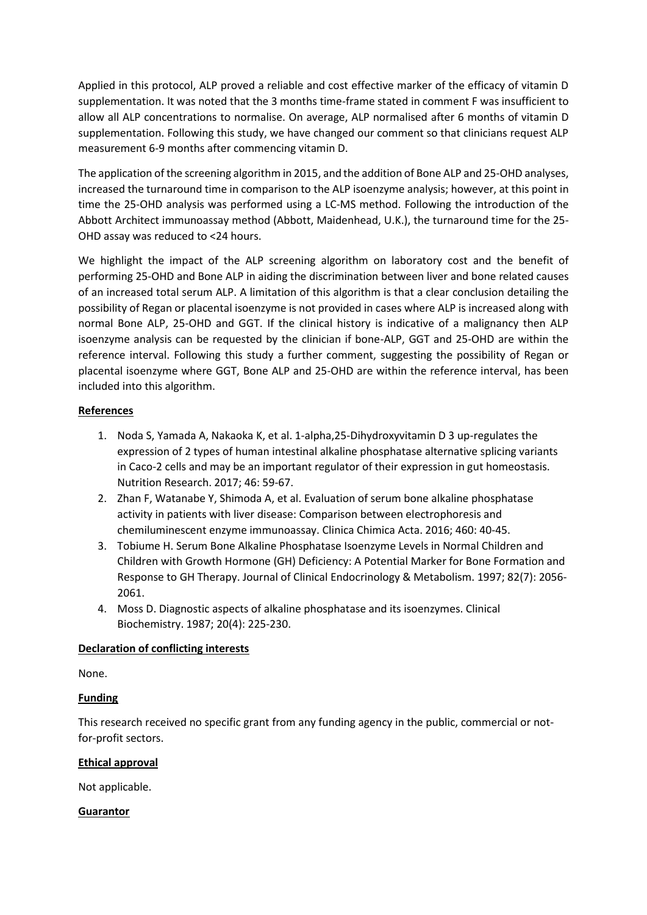Applied in this protocol, ALP proved a reliable and cost effective marker of the efficacy of vitamin D supplementation. It was noted that the 3 months time-frame stated in comment F was insufficient to allow all ALP concentrations to normalise. On average, ALP normalised after 6 months of vitamin D supplementation. Following this study, we have changed our comment so that clinicians request ALP measurement 6-9 months after commencing vitamin D.

The application of the screening algorithm in 2015, and the addition of Bone ALP and 25-OHD analyses, increased the turnaround time in comparison to the ALP isoenzyme analysis; however, at this point in time the 25-OHD analysis was performed using a LC-MS method. Following the introduction of the Abbott Architect immunoassay method (Abbott, Maidenhead, U.K.), the turnaround time for the 25- OHD assay was reduced to <24 hours.

We highlight the impact of the ALP screening algorithm on laboratory cost and the benefit of performing 25-OHD and Bone ALP in aiding the discrimination between liver and bone related causes of an increased total serum ALP. A limitation of this algorithm is that a clear conclusion detailing the possibility of Regan or placental isoenzyme is not provided in cases where ALP is increased along with normal Bone ALP, 25-OHD and GGT. If the clinical history is indicative of a malignancy then ALP isoenzyme analysis can be requested by the clinician if bone-ALP, GGT and 25-OHD are within the reference interval. Following this study a further comment, suggesting the possibility of Regan or placental isoenzyme where GGT, Bone ALP and 25-OHD are within the reference interval, has been included into this algorithm.

# **References**

- 1. Noda S, Yamada A, Nakaoka K, et al. 1-alpha,25-Dihydroxyvitamin D 3 up-regulates the expression of 2 types of human intestinal alkaline phosphatase alternative splicing variants in Caco-2 cells and may be an important regulator of their expression in gut homeostasis. Nutrition Research. 2017; 46: 59-67.
- 2. Zhan F, Watanabe Y, Shimoda A, et al. Evaluation of serum bone alkaline phosphatase activity in patients with liver disease: Comparison between electrophoresis and chemiluminescent enzyme immunoassay. Clinica Chimica Acta. 2016; 460: 40-45.
- 3. Tobiume H. Serum Bone Alkaline Phosphatase Isoenzyme Levels in Normal Children and Children with Growth Hormone (GH) Deficiency: A Potential Marker for Bone Formation and Response to GH Therapy. Journal of Clinical Endocrinology & Metabolism. 1997; 82(7): 2056- 2061.
- 4. Moss D. Diagnostic aspects of alkaline phosphatase and its isoenzymes. Clinical Biochemistry. 1987; 20(4): 225-230.

# **Declaration of conflicting interests**

None.

# **Funding**

This research received no specific grant from any funding agency in the public, commercial or notfor-profit sectors.

## **Ethical approval**

Not applicable.

# **Guarantor**